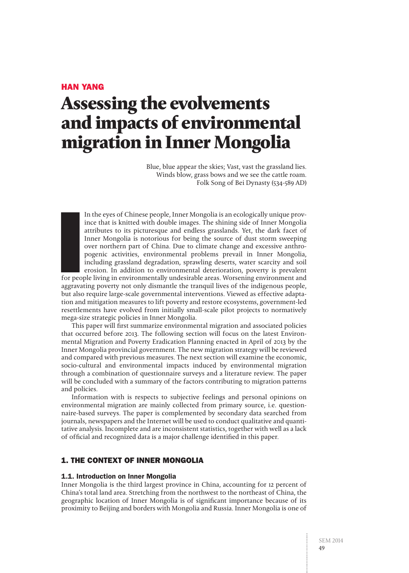# Han Yang

# **Assessing the evolvements and impacts of environmental migration in Inner Mongolia**

Blue, blue appear the skies; Vast, vast the grassland lies. Winds blow, grass bows and we see the cattle roam. Folk Song of Bei Dynasty (534-589 AD)

In the eyes of Chinese people, Inner Mongolia is an ecologically unique province that is knitted with double images. The shining side of Inner Mongolia attributes to its picturesque and endless grasslands. Yet, the dark facet of Inner Mongolia is notorious for being the source of dust storm sweeping over northern part of China. Due to climate change and excessive anthropogenic activities, environmental problems prevail in Inner Mongolia, including grassland degradation, sprawling deserts, water scarcity and soil erosion. In addition to environmental deterioration, poverty is prevalent

International<br>International<br>International<br>International for people living in environmentally undesirable areas. Worsening environment and aggravating poverty not only dismantle the tranquil lives of the indigenous people, but also require large-scale governmental interventions. Viewed as effective adaptation and mitigation measures to lift poverty and restore ecosystems, government-led resettlements have evolved from initially small-scale pilot projects to normatively mega-size strategic policies in Inner Mongolia.

This paper will first summarize environmental migration and associated policies that occurred before 2013. The following section will focus on the latest Environmental Migration and Poverty Eradication Planning enacted in April of 2013 by the Inner Mongolia provincial government. The new migration strategy will be reviewed and compared with previous measures. The next section will examine the economic, socio-cultural and environmental impacts induced by environmental migration through a combination of questionnaire surveys and a literature review. The paper will be concluded with a summary of the factors contributing to migration patterns and policies.

Information with is respects to subjective feelings and personal opinions on environmental migration are mainly collected from primary source, i.e. questionnaire-based surveys. The paper is complemented by secondary data searched from journals, newspapers and the Internet will be used to conduct qualitative and quantitative analysis. Incomplete and are inconsistent statistics, together with well as a lack of official and recognized data is a major challenge identified in this paper.

# 1. The Context of Inner Mongolia

## 1.1. Introduction on Inner Mongolia

Inner Mongolia is the third largest province in China, accounting for 12 percent of China's total land area. Stretching from the northwest to the northeast of China, the geographic location of Inner Mongolia is of significant importance because of its proximity to Beijing and borders with Mongolia and Russia. Inner Mongolia is one of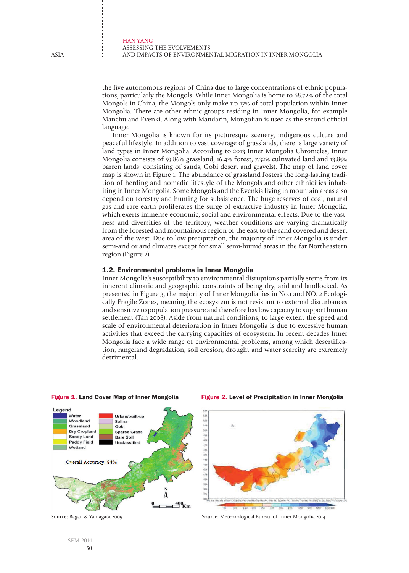the five autonomous regions of China due to large concentrations of ethnic populations, particularly the Mongols. While Inner Mongolia is home to 68.72% of the total Mongols in China, the Mongols only make up 17% of total population within Inner Mongolia. There are other ethnic groups residing in Inner Mongolia, for example Manchu and Evenki. Along with Mandarin, Mongolian is used as the second official language.

Inner Mongolia is known for its picturesque scenery, indigenous culture and peaceful lifestyle. In addition to vast coverage of grasslands, there is large variety of land types in Inner Mongolia. According to 2013 Inner Mongolia Chronicles, Inner Mongolia consists of 59.86% grassland, 16.4% forest, 7.32% cultivated land and 13.85% barren lands; consisting of sands, Gobi desert and gravels). The map of land cover map is shown in Figure 1. The abundance of grassland fosters the long-lasting tradition of herding and nomadic lifestyle of the Mongols and other ethnicities inhabiting in Inner Mongolia. Some Mongols and the Evenkis living in mountain areas also depend on forestry and hunting for subsistence. The huge reserves of coal, natural gas and rare earth proliferates the surge of extractive industry in Inner Mongolia, which exerts immense economic, social and environmental effects. Due to the vastness and diversities of the territory, weather conditions are varying dramatically from the forested and mountainous region of the east to the sand covered and desert area of the west. Due to low precipitation, the majority of Inner Mongolia is under semi-arid or arid climates except for small semi-humid areas in the far Northeastern region (Figure 2).

## 1.2. Environmental problems in Inner Mongolia

Inner Mongolia's susceptibility to environmental disruptions partially stems from its inherent climatic and geographic constraints of being dry, arid and landlocked. As presented in Figure 3, the majority of Inner Mongolia lies in No.1 and NO. 2 Ecologically Fragile Zones, meaning the ecosystem is not resistant to external disturbances and sensitive to population pressure and therefore has low capacity to support human settlement (Tan 2008). Aside from natural conditions, to large extent the speed and scale of environmental deterioration in Inner Mongolia is due to excessive human activities that exceed the carrying capacities of ecosystem. In recent decades Inner Mongolia face a wide range of environmental problems, among which desertification, rangeland degradation, soil erosion, drought and water scarcity are extremely detrimental.



#### Figure 1. Land Cover Map of Inner Mongolia

Source: Bagan & Yamagata 2009



Figure 2. Level of Precipitation in Inner Mongolia

Source: Meteorological Bureau of Inner Mongolia 2014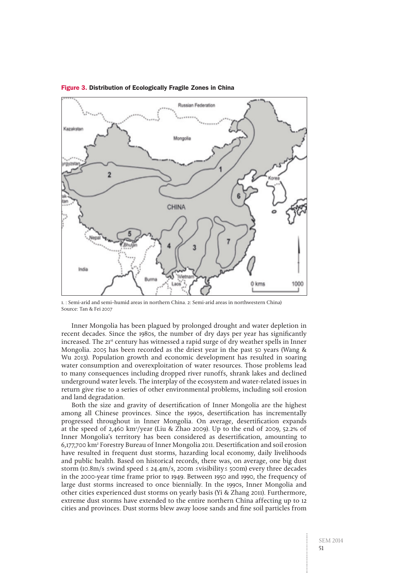

#### Figure 3. Distribution of Ecologically Fragile Zones in China

1. : Semi-arid and semi–humid areas in northern China. 2: Semi-arid areas in northwestern China) Source: Tan & Fei 2007

Inner Mongolia has been plagued by prolonged drought and water depletion in recent decades. Since the 1980s, the number of dry days per year has significantly increased. The 21<sup>st</sup> century has witnessed a rapid surge of dry weather spells in Inner Mongolia. 2005 has been recorded as the driest year in the past 50 years (Wang & Wu 2013). Population growth and economic development has resulted in soaring water consumption and overexploitation of water resources. Those problems lead to many consequences including dropped river runoffs, shrank lakes and declined underground water levels. The interplay of the ecosystem and water-related issues in return give rise to a series of other environmental problems, including soil erosion and land degradation.

Both the size and gravity of desertification of Inner Mongolia are the highest among all Chinese provinces. Since the 1990s, desertification has incrementally progressed throughout in Inner Mongolia. On average, desertification expands at the speed of 2,460 km2 /year (Liu & Zhao 2009). Up to the end of 2009, 52.2% of Inner Mongolia's territory has been considered as desertification, amounting to 6,177,700 km2 Forestry Bureau of Inner Mongolia 2011. Desertification and soil erosion have resulted in frequent dust storms, hazarding local economy, daily livelihoods and public health. Based on historical records, there was, on average, one big dust storm (10.8m/s ≤wind speed ≤ 24.4m/s, 200m ≤visibility≤ 500m) every three decades in the 2000-year time frame prior to 1949. Between 1950 and 1990, the frequency of large dust storms increased to once biennially. In the 1990s, Inner Mongolia and other cities experienced dust storms on yearly basis (Yi & Zhang 2011). Furthermore, extreme dust storms have extended to the entire northern China affecting up to 12 cities and provinces. Dust storms blew away loose sands and fine soil particles from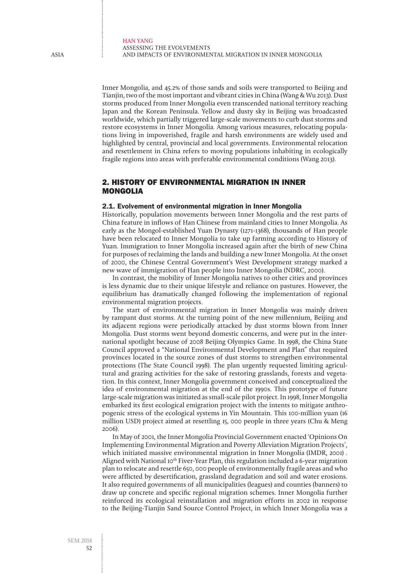Inner Mongolia, and 45.2% of those sands and soils were transported to Beijing and Tianjin, two of the most important and vibrant cities in China (Wang & Wu 2013). Dust storms produced from Inner Mongolia even transcended national territory reaching Japan and the Korean Peninsula. Yellow and dusty sky in Beijing was broadcasted worldwide, which partially triggered large-scale movements to curb dust storms and restore ecosystems in Inner Mongolia. Among various measures, relocating populations living in impoverished, fragile and harsh environments are widely used and highlighted by central, provincial and local governments. Environmental relocation and resettlement in China refers to moving populations inhabiting in ecologically fragile regions into areas with preferable environmental conditions (Wang 2013).

# 2. History of Environmental Migration in Inner Mongolia

# 2.1. Evolvement of environmental migration in Inner Mongolia

Historically, population movements between Inner Mongolia and the rest parts of China feature in inflows of Han Chinese from mainland cities to Inner Mongolia. As early as the Mongol-established Yuan Dynasty (1271-1368), thousands of Han people have been relocated to Inner Mongolia to take up farming according to History of Yuan. Immigration to Inner Mongolia increased again after the birth of new China for purposes of reclaiming the lands and building a new Inner Mongolia. At the onset of 2000, the Chinese Central Government's West Development strategy marked a new wave of immigration of Han people into Inner Mongolia (NDRC, 2000).

In contrast, the mobility of Inner Mongolia natives to other cities and provinces is less dynamic due to their unique lifestyle and reliance on pastures. However, the equilibrium has dramatically changed following the implementation of regional environmental migration projects.

The start of environmental migration in Inner Mongolia was mainly driven by rampant dust storms. At the turning point of the new millennium, Beijing and its adjacent regions were periodically attacked by dust storms blown from Inner Mongolia. Dust storms went beyond domestic concerns, and were put in the international spotlight because of 2008 Beijing Olympics Game. In 1998, the China State Council approved a "National Environmental Development and Plan" that required provinces located in the source zones of dust storms to strengthen environmental protections (The State Council 1998). The plan urgently requested limiting agricultural and grazing activities for the sake of restoring grasslands, forests and vegetation. In this context, Inner Mongolia government conceived and conceptualized the idea of environmental migration at the end of the 1990s. This prototype of future large-scale migration was initiated as small-scale pilot project. In 1998, Inner Mongolia embarked its first ecological emigration project with the intents to mitigate anthropogenic stress of the ecological systems in Yin Mountain. This 100-million yuan (16 million USD) project aimed at resettling 15, 000 people in three years (Chu & Meng 2006).

In May of 2001, the Inner Mongolia Provincial Government enacted 'Opinions On Implementing Environmental Migration and Poverty Alleviation Migration Projects', which initiated massive environmental migration in Inner Mongolia (IMDR, 2001) . Aligned with National 10<sup>th</sup> Fiver-Year Plan, this regulation included a 6-year migration plan to relocate and resettle 650, 000 people of environmentally fragile areas and who were afflicted by desertification, grassland degradation and soil and water erosions. It also required governments of all municipalities (leagues) and counties (banners) to draw up concrete and specific regional migration schemes. Inner Mongolia further reinforced its ecological reinstallation and migration efforts in 2002 in response to the Beijing-Tianjin Sand Source Control Project, in which Inner Mongolia was a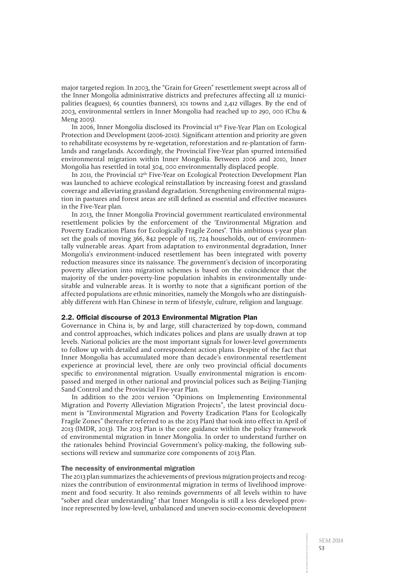major targeted region. In 2003, the "Grain for Green" resettlement swept across all of the Inner Mongolia administrative districts and prefectures affecting all 12 municipalities (leagues), 65 counties (banners), 101 towns and 2,412 villages. By the end of 2003, environmental settlers in Inner Mongolia had reached up to 290, 000 (Chu & Meng 2005).

In 2006, Inner Mongolia disclosed its Provincial 11th Five-Year Plan on Ecological Protection and Development (2006-2010). Significant attention and priority are given to rehabilitate ecosystems by re-vegetation, reforestation and re-plantation of farmlands and rangelands. Accordingly, the Provincial Five-Year plan spurred intensified environmental migration within Inner Mongolia. Between 2006 and 2010, Inner Mongolia has resettled in total 304, 000 environmentally displaced people.

In 2011, the Provincial 12<sup>th</sup> Five-Year on Ecological Protection Development Plan was launched to achieve ecological reinstallation by increasing forest and grassland coverage and alleviating grassland degradation. Strengthening environmental migration in pastures and forest areas are still defined as essential and effective measures in the Five-Year plan.

In 2013, the Inner Mongolia Provincial government rearticulated environmental resettlement policies by the enforcement of the 'Environmental Migration and Poverty Eradication Plans for Ecologically Fragile Zones**'**. This ambitious 5-year plan set the goals of moving 366, 842 people of 115, 724 households, out of environmentally vulnerable areas. Apart from adaptation to environmental degradation, Inner Mongolia's environment-induced resettlement has been integrated with poverty reduction measures since its naissance. The government's decision of incorporating poverty alleviation into migration schemes is based on the coincidence that the majority of the under-poverty-line population inhabits in environmentally undesirable and vulnerable areas. It is worthy to note that a significant portion of the affected populations are ethnic minorities, namely the Mongols who are distinguishably different with Han Chinese in term of lifestyle, culture, religion and language.

## 2.2. Official discourse of 2013 Environmental Migration Plan

Governance in China is, by and large, still characterized by top-down, command and control approaches, which indicates polices and plans are usually drawn at top levels. National policies are the most important signals for lower-level governments to follow up with detailed and correspondent action plans. Despite of the fact that Inner Mongolia has accumulated more than decade's environmental resettlement experience at provincial level, there are only two provincial official documents specific to environmental migration. Usually environmental migration is encompassed and merged in other national and provincial polices such as Beijing-Tianjing Sand Control and the Provincial Five-year Plan.

In addition to the 2001 version "Opinions on Implementing Environmental Migration and Poverty Alleviation Migration Projects", the latest provincial document is "Environmental Migration and Poverty Eradication Plans for Ecologically Fragile Zones" (hereafter referred to as the 2013 Plan) that took into effect in April of 2013 (IMDR, 2013). The 2013 Plan is the core guidance within the policy framework of environmental migration in Inner Mongolia. In order to understand further on the rationales behind Provincial Government's policy-making, the following subsections will review and summarize core components of 2013 Plan.

## The necessity of environmental migration

The 2013 plan summarizes the achievements of previous migration projects and recognizes the contribution of environmental migration in terms of livelihood improvement and food security. It also reminds governments of all levels within to have "sober and clear understanding" that Inner Mongolia is still a less developed province represented by low-level, unbalanced and uneven socio-economic development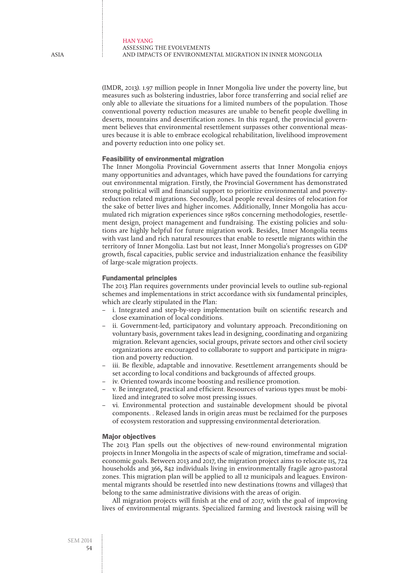(IMDR, 2013). 1.97 million people in Inner Mongolia live under the poverty line, but measures such as bolstering industries, labor force transferring and social relief are only able to alleviate the situations for a limited numbers of the population. Those conventional poverty reduction measures are unable to benefit people dwelling in deserts, mountains and desertification zones. In this regard, the provincial government believes that environmental resettlement surpasses other conventional measures because it is able to embrace ecological rehabilitation, livelihood improvement and poverty reduction into one policy set.

## Feasibility of environmental migration

The Inner Mongolia Provincial Government asserts that Inner Mongolia enjoys many opportunities and advantages, which have paved the foundations for carrying out environmental migration. Firstly, the Provincial Government has demonstrated strong political will and financial support to prioritize environmental and povertyreduction related migrations. Secondly, local people reveal desires of relocation for the sake of better lives and higher incomes. Additionally, Inner Mongolia has accumulated rich migration experiences since 1980s concerning methodologies, resettlement design, project management and fundraising. The existing policies and solutions are highly helpful for future migration work. Besides, Inner Mongolia teems with vast land and rich natural resources that enable to resettle migrants within the territory of Inner Mongolia. Last but not least, Inner Mongolia's progresses on GDP growth, fiscal capacities, public service and industrialization enhance the feasibility of large-scale migration projects.

## Fundamental principles

The 2013 Plan requires governments under provincial levels to outline sub-regional schemes and implementations in strict accordance with six fundamental principles, which are clearly stipulated in the Plan:

- i. Integrated and step-by-step implementation built on scientific research and close examination of local conditions.
- ii. Government-led, participatory and voluntary approach. Preconditioning on voluntary basis, government takes lead in designing, coordinating and organizing migration. Relevant agencies, social groups, private sectors and other civil society organizations are encouraged to collaborate to support and participate in migration and poverty reduction.
- iii. Be flexible, adaptable and innovative. Resettlement arrangements should be set according to local conditions and backgrounds of affected groups.
- iv. Oriented towards income boosting and resilience promotion.
- v. Be integrated, practical and efficient. Resources of various types must be mobilized and integrated to solve most pressing issues.
- vi. Environmental protection and sustainable development should be pivotal components. . Released lands in origin areas must be reclaimed for the purposes of ecosystem restoration and suppressing environmental deterioration.

#### Major objectives

The 2013 Plan spells out the objectives of new-round environmental migration projects in Inner Mongolia in the aspects of scale of migration, timeframe and socialeconomic goals. Between 2013 and 2017, the migration project aims to relocate 115, 724 households and 366**,** 842 individuals living in environmentally fragile agro-pastoral zones. This migration plan will be applied to all 12 municipals and leagues. Environmental migrants should be resettled into new destinations (towns and villages) that belong to the same administrative divisions with the areas of origin.

All migration projects will finish at the end of 2017, with the goal of improving lives of environmental migrants. Specialized farming and livestock raising will be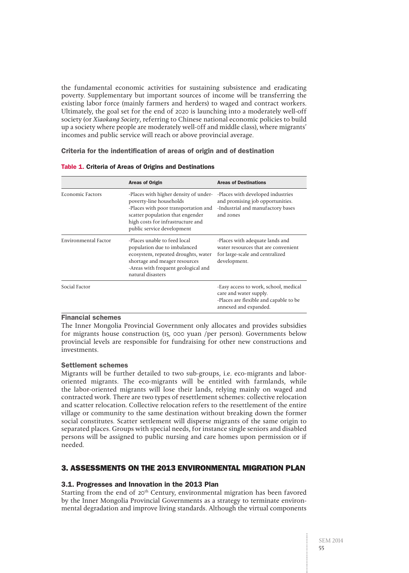the fundamental economic activities for sustaining subsistence and eradicating poverty. Supplementary but important sources of income will be transferring the existing labor force (mainly farmers and herders) to waged and contract workers. Ultimately, the goal set for the end of 2020 is launching into a moderately well-off society (or Xiaokang Society, referring to Chinese national economic policies to build up a society where people are moderately well-0ff and middle class), where migrants' incomes and public service will reach or above provincial average.

Criteria for the indentification of areas of origin and of destination

|                             | <b>Areas of Origin</b>                                                                                                                                                                                          | <b>Areas of Destinations</b>                                                                                                       |  |
|-----------------------------|-----------------------------------------------------------------------------------------------------------------------------------------------------------------------------------------------------------------|------------------------------------------------------------------------------------------------------------------------------------|--|
| <b>Economic Factors</b>     | -Places with higher density of under-<br>poverty-line households<br>-Places with poor transportation and<br>scatter population that engender<br>high costs for infrastructure and<br>public service development | -Places with developed industries<br>and promising job opportunities.<br>-Industrial and manufactory bases<br>and zones            |  |
| <b>Environmental Factor</b> | -Places unable to feed local<br>population due to imbalanced<br>ecosystem, repeated droughts, water<br>shortage and meager resources<br>-Areas with frequent geological and<br>natural disasters                | -Places with adequate lands and<br>water resources that are convenient<br>for large-scale and centralized<br>development.          |  |
| Social Factor               |                                                                                                                                                                                                                 | -Easy access to work, school, medical<br>care and water supply.<br>-Places are flexible and capable to be<br>annexed and expanded. |  |

Table 1. Criteria of Areas of Origins and Destinations

## Financial schemes

The Inner Mongolia Provincial Government only allocates and provides subsidies for migrants house construction (15, 000 yuan /per person). Governments below provincial levels are responsible for fundraising for other new constructions and investments.

## Settlement schemes

Migrants will be further detailed to two sub-groups, i.e. eco-migrants and labororiented migrants. The eco-migrants will be entitled with farmlands, while the labor-oriented migrants will lose their lands, relying mainly on waged and contracted work. There are two types of resettlement schemes: collective relocation and scatter relocation. Collective relocation refers to the resettlement of the entire village or community to the same destination without breaking down the former social constitutes. Scatter settlement will disperse migrants of the same origin to separated places. Groups with special needs, for instance single seniors and disabled persons will be assigned to public nursing and care homes upon permission or if needed.

# 3. Assessments on the 2013 Environmental Migration Plan

# 3.1. Progresses and Innovation in the 2013 Plan

Starting from the end of 20<sup>th</sup> Century, environmental migration has been favored by the Inner Mongolia Provincial Governments as a strategy to terminate environmental degradation and improve living standards. Although the virtual components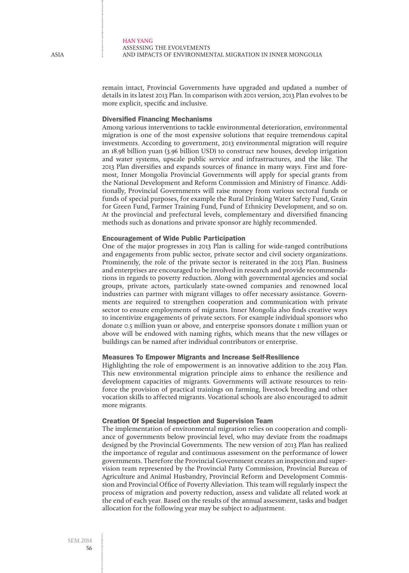remain intact, Provincial Governments have upgraded and updated a number of details in its latest 2013 Plan. In comparison with 2001 version, 2013 Plan evolves to be more explicit, specific and inclusive.

## Diversified Financing Mechanisms

Among various interventions to tackle environmental deterioration, environmental migration is one of the most expensive solutions that require tremendous capital investments. According to government, 2013 environmental migration will require an 18.98 billion yuan (3.96 billion USD) to construct new houses, develop irrigation and water systems, upscale public service and infrastructures, and the like. The 2013 Plan diversifies and expands sources of finance in many ways. First and foremost, Inner Mongolia Provincial Governments will apply for special grants from the National Development and Reform Commission and Ministry of Finance. Additionally, Provincial Governments will raise money from various sectoral funds or funds of special purposes, for example the Rural Drinking Water Safety Fund, Grain for Green Fund, Farmer Training Fund, Fund of Ethnicity Development, and so on. At the provincial and prefectural levels, complementary and diversified financing methods such as donations and private sponsor are highly recommended.

## Encouragement of Wide Public Participation

One of the major progresses in 2013 Plan is calling for wide-ranged contributions and engagements from public sector, private sector and civil society organizations. Prominently, the role of the private sector is reiterated in the 2013 Plan. Business and enterprises are encouraged to be involved in research and provide recommendations in regards to poverty reduction. Along with governmental agencies and social groups, private actors, particularly state-owned companies and renowned local industries can partner with migrant villages to offer necessary assistance. Governments are required to strengthen cooperation and communication with private sector to ensure employments of migrants. Inner Mongolia also finds creative ways to incentivize engagements of private sectors. For example individual sponsors who donate 0.5 million yuan or above, and enterprise sponsors donate 1 million yuan or above will be endowed with naming rights, which means that the new villages or buildings can be named after individual contributors or enterprise.

## Measures To Empower Migrants and Increase Self-Resilience

Highlighting the role of empowerment is an innovative addition to the 2013 Plan. This new environmental migration principle aims to enhance the resilience and development capacities of migrants. Governments will activate resources to reinforce the provision of practical trainings on farming, livestock breeding and other vocation skills to affected migrants. Vocational schools are also encouraged to admit more migrants.

## Creation Of Special Inspection and Supervision Team

The implementation of environmental migration relies on cooperation and compliance of governments below provincial level, who may deviate from the roadmaps designed by the Provincial Governments. The new version of 2013 Plan has realized the importance of regular and continuous assessment on the performance of lower governments. Therefore the Provincial Government creates an inspection and supervision team represented by the Provincial Party Commission, Provincial Bureau of Agriculture and Animal Husbandry, Provincial Reform and Development Commission and Provincial Office of Poverty Alleviation. This team will regularly inspect the process of migration and poverty reduction, assess and validate all related work at the end of each year. Based on the results of the annual assessment, tasks and budget allocation for the following year may be subject to adjustment.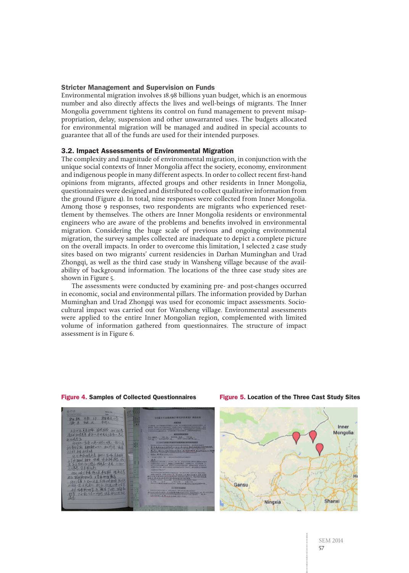## Stricter Management and Supervision on Funds

Environmental migration involves 18.98 billions yuan budget, which is an enormous number and also directly affects the lives and well-beings of migrants. The Inner Mongolia government tightens its control on fund management to prevent misappropriation, delay, suspension and other unwarranted uses. The budgets allocated for environmental migration will be managed and audited in special accounts to guarantee that all of the funds are used for their intended purposes.

## 3.2. Impact Assessments of Environmental Migration

The complexity and magnitude of environmental migration, in conjunction with the unique social contexts of Inner Mongolia affect the society, economy, environment and indigenous people in many different aspects. In order to collect recent first-hand opinions from migrants, affected groups and other residents in Inner Mongolia, questionnaires were designed and distributed to collect qualitative information from the ground (Figure 4). In total, nine responses were collected from Inner Mongolia. Among those 9 responses, two respondents are migrants who experienced resettlement by themselves. The others are Inner Mongolia residents or environmental engineers who are aware of the problems and benefits involved in environmental migration. Considering the huge scale of previous and ongoing environmental migration, the survey samples collected are inadequate to depict a complete picture on the overall impacts. In order to overcome this limitation, I selected 2 case study sites based on two migrants' current residencies in Darhan Muminghan and Urad Zhongqi, as well as the third case study in Wansheng village because of the availability of background information. The locations of the three case study sites are shown in Figure 5.

The assessments were conducted by examining pre- and post-changes occurred in economic, social and environmental pillars. The information provided by Darhan Muminghan and Urad Zhongqi was used for economic impact assessments. Sociocultural impact was carried out for Wansheng village. Environmental assessments were applied to the entire Inner Mongolian region, complemented with limited volume of information gathered from questionnaires. The structure of impact assessment is in Figure 6.



#### Figure 4. Samples of Collected Questionnaires Figure 5. Location of the Three Cast Study Sites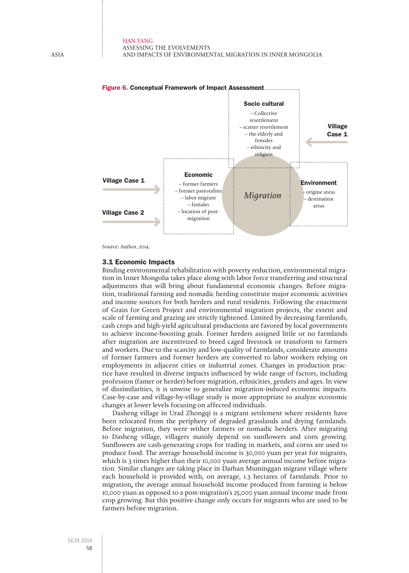

Source: Author, 2014.

## 3.1 Economic Impacts

Binding environmental rehabilitation with poverty reduction, environmental migration in Inner Mongolia takes place along with labor force transferring and structural adjustments that will bring about fundamental economic changes. Before migration, traditional farming and nomadic herding constitute major economic activities and income sources for both herders and rural residents. Following the enactment of Grain for Green Project and environmental migration projects, the extent and scale of farming and grazing are strictly tightened. Limited by decreasing farmlands, cash crops and high-yield agricultural productions are favored by local governments to achieve income-boosting goals. Former herders assigned little or no farmlands after migration are incentivized to breed caged livestock or transform to farmers and workers. Due to the scarcity and low-quality of farmlands, considerate amounts of former farmers and former herders are converted to labor workers relying on employments in adjacent cities or industrial zones. Changes in production practice have resulted in diverse impacts influenced by wide range of factors, including profession (famer or herder) before migration, ethnicities, genders and ages. In view of dissimilarities, it is unwise to generalize migration-induced economic impacts. Case-by-case and village-by-village study is more appropriate to analyze economic changes at lower levels focusing on affected individuals.

Dasheng village in Urad Zhongqi is a migrant settlement where residents have been relocated from the periphery of degraded grasslands and drying farmlands. Before migration, they were wither farmers or nomadic herders. After migrating to Dasheng village, villagers mainly depend on sunflowers and corn growing. Sunflowers are cash-generating crops for trading in markets, and corns are used to produce food. The average household income is 30,000 yuan per year for migrants, which is 3 times higher than their 10,000 yuan average annual income before migration. Similar changes are taking place in Darhan Muminggan migrant village where each household is provided with, on average, 1.3 hectares of farmlands. Prior to migration**,** the average annual household income produced from farming is below 10,000 yuan as opposed to a post-migration's 25,000 yuan annual income made from crop growing. But this positive change only occurs for migrants who are used to be farmers before migration.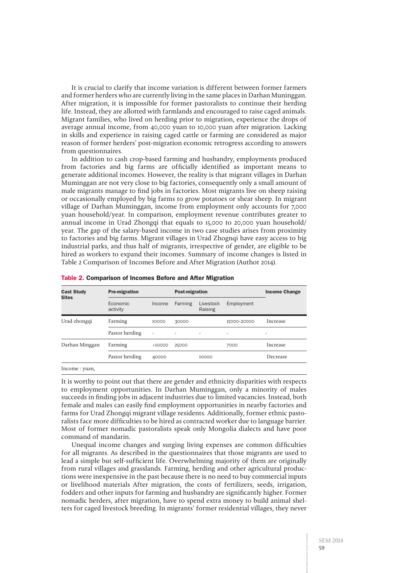It is crucial to clarify that income variation is different between former farmers and former herders who are currently living in the same places in Darhan Muninggan. After migration, it is impossible for former pastoralists to continue their herding life. Instead, they are allotted with farmlands and encouraged to raise caged animals. Migrant families, who lived on herding prior to migration, experience the drops of average annual income, from 40,000 yuan to 10,000 yuan after migration. Lacking in skills and experience in raising caged cattle or farming are considered as major reason of former herders' post-migration economic retrogress according to answers from questionnaires.

In addition to cash crop-based farming and husbandry, employments produced from factories and big farms are officially identified as important means to generate additional incomes. However, the reality is that migrant villages in Darhan Muminggan are not very close to big factories, consequently only a small amount of male migrants manage to find jobs in factories. Most migrants live on sheep raising or occasionally employed by big farms to grow potatoes or shear sheep. In migrant village of Darhan Muminggan, income from employment only accounts for 7,000 yuan household/year. In comparison, employment revenue contributes greater to annual income in Urad Zhongqi that equals to 15,000 to 20,000 yuan household/ year. The gap of the salary-based income in two case studies arises from proximity to factories and big farms. Migrant villages in Urad Zhognqi have easy access to big industrial parks, and thus half of migrants, irrespective of gender, are eligible to be hired as workers to expand their incomes. Summary of income changes is listed in Table 2 Comparison of Incomes Before and After Migration (Author 2014).

| <b>Pre-migration</b> |                | <b>Post-migration</b> |                      |             | <b>Income Change</b> |
|----------------------|----------------|-----------------------|----------------------|-------------|----------------------|
| Economic<br>activity | Income         | Farming               | Livestock<br>Raising | Employment  |                      |
| Farming              | 10000          | 30000                 |                      | 15000-20000 | Increase             |
| Pastor herding       | $\overline{a}$ | ۰                     | $\overline{a}$       | -           | $\qquad \qquad$      |
| Farming              | <10000         | 25000                 |                      | 7000        | Increase             |
| Pastor herding       | 40000          |                       | 10000                |             | Decrease             |
|                      |                |                       |                      |             |                      |

#### Table 2. Comparison of Incomes Before and After Migration

Income : yuan,

It is worthy to point out that there are gender and ethnicity disparities with respects to employment opportunities. In Darhan Muminggan, only a minority of males succeeds in finding jobs in adjacent industries due to limited vacancies. Instead, both female and males can easily find employment opportunities in nearby factories and farms for Urad Zhongqi migrant village residents. Additionally, former ethnic pastoralists face more difficulties to be hired as contracted worker due to language barrier. Most of former nomadic pastoralists speak only Mongolia dialects and have poor command of mandarin.

Unequal income changes and surging living expenses are common difficulties for all migrants. As described in the questionnaires that those migrants are used to lead a simple but self-sufficient life. Overwhelming majority of them are originally from rural villages and grasslands. Farming, herding and other agricultural productions were inexpensive in the past because there is no need to buy commercial inputs or livelihood materials After migration, the costs of fertilizers, seeds, irrigation, fodders and other inputs for farming and husbandry are significantly higher. Former nomadic herders, after migration, have to spend extra money to build animal shelters for caged livestock breeding. In migrants' former residential villages, they never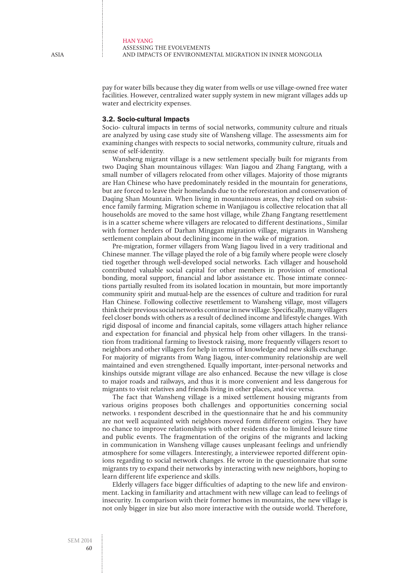pay for water bills because they dig water from wells or use village-owned free water facilities. However, centralized water supply system in new migrant villages adds up water and electricity expenses.

#### 3.2. Socio-cultural Impacts

Socio- cultural impacts in terms of social networks, community culture and rituals are analyzed by using case study site of Wansheng village. The assessments aim for examining changes with respects to social networks, community culture, rituals and sense of self-identity.

Wansheng migrant village is a new settlement specially built for migrants from two Daqing Shan mountainous villages: Wan Jiagou and Zhang Fangtang, with a small number of villagers relocated from other villages. Majority of those migrants are Han Chinese who have predominately resided in the mountain for generations, but are forced to leave their homelands due to the reforestation and conservation of Daqing Shan Mountain. When living in mountainous areas, they relied on subsistence family farming. Migration scheme in Wanjiagou is collective relocation that all households are moved to the same host village, while Zhang Fangtang resettlement is in a scatter scheme where villagers are relocated to different destinations., Similar with former herders of Darhan Minggan migration village, migrants in Wansheng settlement complain about declining income in the wake of migration.

Pre-migration, former villagers from Wang Jiagou lived in a very traditional and Chinese manner. The village played the role of a big family where people were closely tied together through well-developed social networks. Each villager and household contributed valuable social capital for other members in provision of emotional bonding, moral support, financial and labor assistance etc. Those intimate connections partially resulted from its isolated location in mountain, but more importantly community spirit and mutual-help are the essences of culture and tradition for rural Han Chinese. Following collective resettlement to Wansheng village, most villagers think their previous social networks continue in new village. Specifically, many villagers feel closer bonds with others as a result of declined income and lifestyle changes. With rigid disposal of income and financial capitals, some villagers attach higher reliance and expectation for financial and physical help from other villagers. In the transition from traditional farming to livestock raising, more frequently villagers resort to neighbors and other villagers for help in terms of knowledge and new skills exchange. For majority of migrants from Wang Jiagou, inter-community relationship are well maintained and even strengthened. Equally important, inter-personal networks and kinships outside migrant village are also enhanced. Because the new village is close to major roads and railways, and thus it is more convenient and less dangerous for migrants to visit relatives and friends living in other places, and vice versa.

The fact that Wansheng village is a mixed settlement housing migrants from various origins proposes both challenges and opportunities concerning social networks. 1 respondent described in the questionnaire that he and his community are not well acquainted with neighbors moved form different origins. They have no chance to improve relationships with other residents due to limited leisure time and public events. The fragmentation of the origins of the migrants and lacking in communication in Wansheng village causes unpleasant feelings and unfriendly atmosphere for some villagers. Interestingly, a interviewee reported different opinions regarding to social network changes. He wrote in the questionnaire that some migrants try to expand their networks by interacting with new neighbors, hoping to learn different life experience and skills.

Elderly villagers face bigger difficulties of adapting to the new life and environment. Lacking in familiarity and attachment with new village can lead to feelings of insecurity. In comparison with their former homes in mountains, the new village is not only bigger in size but also more interactive with the outside world. Therefore,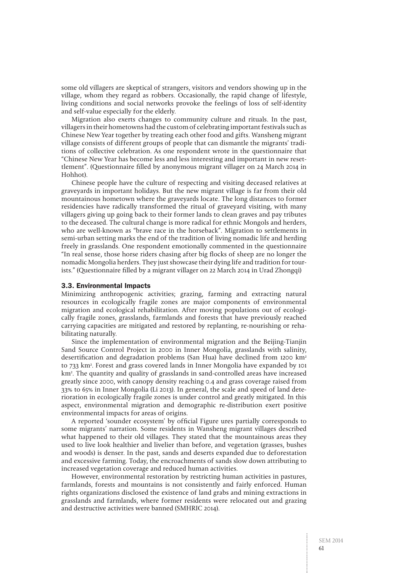some old villagers are skeptical of strangers, visitors and vendors showing up in the village, whom they regard as robbers. Occasionally, the rapid change of lifestyle, living conditions and social networks provoke the feelings of loss of self-identity and self-value especially for the elderly.

Migration also exerts changes to community culture and rituals. In the past, villagers in their hometowns had the custom of celebrating important festivals such as Chinese New Year together by treating each other food and gifts. Wansheng migrant village consists of different groups of people that can dismantle the migrants' traditions of collective celebration. As one respondent wrote in the questionnaire that "Chinese New Year has become less and less interesting and important in new resettlement". (Questionnaire filled by anonymous migrant villager on 24 March 2014 in Hohhot).

Chinese people have the culture of respecting and visiting deceased relatives at graveyards in important holidays. But the new migrant village is far from their old mountainous hometown where the graveyards locate. The long distances to former residencies have radically transformed the ritual of graveyard visiting, with many villagers giving up going back to their former lands to clean graves and pay tributes to the deceased. The cultural change is more radical for ethnic Mongols and herders, who are well-known as "brave race in the horseback". Migration to settlements in semi-urban setting marks the end of the tradition of living nomadic life and herding freely in grasslands. One respondent emotionally commented in the questionnaire "In real sense, those horse riders chasing after big flocks of sheep are no longer the nomadic Mongolia herders. They just showcase their dying life and tradition for tourists." (Questionnaire filled by a migrant villager on 22 March 2014 in Urad Zhongqi)

#### 3.3. Environmental Impacts

Minimizing anthropogenic activities; grazing, farming and extracting natural resources in ecologically fragile zones are major components of environmental migration and ecological rehabilitation. After moving populations out of ecologically fragile zones, grasslands, farmlands and forests that have previously reached carrying capacities are mitigated and restored by replanting, re-nourishing or rehabilitating naturally.

Since the implementation of environmental migration and the Beijing-Tianjin Sand Source Control Project in 2000 in Inner Mongolia, grasslands with salinity, desertification and degradation problems (San Hua) have declined from 1200 km<sup>2</sup> to 733 km2 . Forest and grass covered lands in Inner Mongolia have expanded by 101 km2 . The quantity and quality of grasslands in sand-controlled areas have increased greatly since 2000, with canopy density reaching 0.4 and grass coverage raised from 33% to 65% in Inner Mongolia (Li 2013). In general, the scale and speed of land deterioration in ecologically fragile zones is under control and greatly mitigated. In this aspect, environmental migration and demographic re-distribution exert positive environmental impacts for areas of origins.

A reported 'sounder ecosystem' by official Figure ures partially corresponds to some migrants' narration. Some residents in Wansheng migrant villages described what happened to their old villages. They stated that the mountainous areas they used to live look healthier and livelier than before, and vegetation (grasses, bushes and woods) is denser. In the past, sands and deserts expanded due to deforestation and excessive farming. Today, the encroachments of sands slow down attributing to increased vegetation coverage and reduced human activities.

However, environmental restoration by restricting human activities in pastures, farmlands, forests and mountains is not consistently and fairly enforced. Human rights organizations disclosed the existence of land grabs and mining extractions in grasslands and farmlands, where former residents were relocated out and grazing and destructive activities were banned (SMHRIC 2014).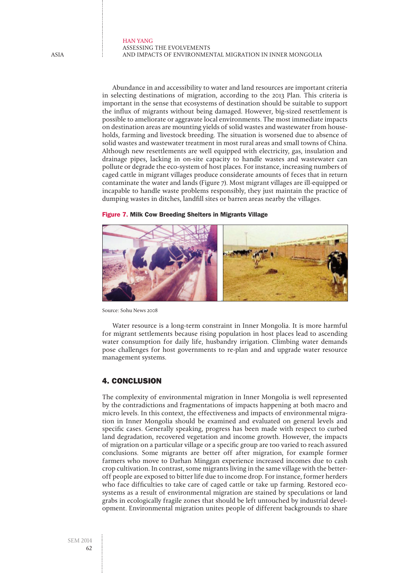Abundance in and accessibility to water and land resources are important criteria in selecting destinations of migration, according to the 2013 Plan. This criteria is important in the sense that ecosystems of destination should be suitable to support the influx of migrants without being damaged. However, big-sized resettlement is possible to ameliorate or aggravate local environments. The most immediate impacts on destination areas are mounting yields of solid wastes and wastewater from households, farming and livestock breeding. The situation is worsened due to absence of solid wastes and wastewater treatment in most rural areas and small towns of China. Although new resettlements are well equipped with electricity, gas, insulation and drainage pipes, lacking in on-site capacity to handle wastes and wastewater can pollute or degrade the eco-system of host places. For instance, increasing numbers of caged cattle in migrant villages produce considerate amounts of feces that in return contaminate the water and lands (Figure 7). Most migrant villages are ill-equipped or incapable to handle waste problems responsibly, they just maintain the practice of dumping wastes in ditches, landfill sites or barren areas nearby the villages.

Figure 7. Milk Cow Breeding Shelters in Migrants Village



Source: Sohu News 2008

Water resource is a long-term constraint in Inner Mongolia. It is more harmful for migrant settlements because rising population in host places lead to ascending water consumption for daily life, husbandry irrigation. Climbing water demands pose challenges for host governments to re-plan and and upgrade water resource management systems.

# 4. Conclusion

The complexity of environmental migration in Inner Mongolia is well represented by the contradictions and fragmentations of impacts happening at both macro and micro levels. In this context, the effectiveness and impacts of environmental migration in Inner Mongolia should be examined and evaluated on general levels and specific cases. Generally speaking, progress has been made with respect to curbed land degradation, recovered vegetation and income growth. However, the impacts of migration on a particular village or a specific group are too varied to reach assured conclusions. Some migrants are better off after migration, for example former farmers who move to Darhan Minggan experience increased incomes due to cash crop cultivation. In contrast, some migrants living in the same village with the betteroff people are exposed to bitter life due to income drop. For instance, former herders who face difficulties to take care of caged cattle or take up farming. Restored ecosystems as a result of environmental migration are stained by speculations or land grabs in ecologically fragile zones that should be left untouched by industrial development. Environmental migration unites people of different backgrounds to share